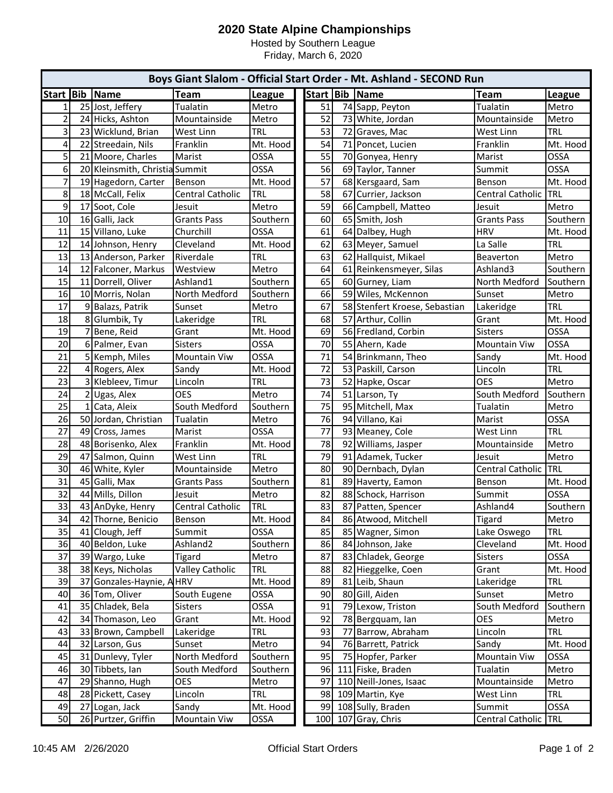## **2020 State Alpine Championships**

Hosted by Southern League Friday, March 6, 2020

| Boys Giant Slalom - Official Start Order - Mt. Ashland - SECOND Run |    |                                |                      |             |  |    |    |                               |                      |             |
|---------------------------------------------------------------------|----|--------------------------------|----------------------|-------------|--|----|----|-------------------------------|----------------------|-------------|
| Start Bib                                                           |    | Name                           | <b>Team</b>          | League      |  |    |    | Start   Bib   Name            | Team                 | League      |
| $\mathbf{1}$                                                        |    | 25 Jost, Jeffery               | Tualatin             | Metro       |  | 51 |    | 74 Sapp, Peyton               | Tualatin             | Metro       |
| $\overline{2}$                                                      |    | 24 Hicks, Ashton               | Mountainside         | Metro       |  | 52 |    | 73 White, Jordan              | Mountainside         | Metro       |
| 3                                                                   |    | 23 Wicklund, Brian             | West Linn            | <b>TRL</b>  |  | 53 |    | 72 Graves, Mac                | West Linn            | <b>TRL</b>  |
| 4                                                                   |    | 22 Streedain, Nils             | Franklin             | Mt. Hood    |  | 54 |    | 71 Poncet, Lucien             | Franklin             | Mt. Hood    |
| 5                                                                   |    | 21 Moore, Charles              | Marist               | OSSA        |  | 55 |    | 70 Gonyea, Henry              | Marist               | OSSA        |
| 6                                                                   |    | 20 Kleinsmith, Christia Summit |                      | OSSA        |  | 56 |    | 69 Taylor, Tanner             | Summit               | OSSA        |
| $\overline{7}$                                                      |    | 19 Hagedorn, Carter            | Benson               | Mt. Hood    |  | 57 |    | 68 Kersgaard, Sam             | Benson               | Mt. Hood    |
| 8                                                                   |    | 18 McCall, Felix               | Central Catholic     | <b>TRL</b>  |  | 58 |    | 67 Currier, Jackson           | Central Catholic     | <b>TRL</b>  |
| 9                                                                   |    | 17 Soot, Cole                  | Jesuit               | Metro       |  | 59 |    | 66 Campbell, Matteo           | Jesuit               | Metro       |
| 10                                                                  |    | 16 Galli, Jack                 | <b>Grants Pass</b>   | Southern    |  | 60 |    | 65 Smith, Josh                | <b>Grants Pass</b>   | Southern    |
| 11                                                                  |    | 15 Villano, Luke               | Churchill            | OSSA        |  | 61 |    | 64 Dalbey, Hugh               | <b>HRV</b>           | Mt. Hood    |
| 12                                                                  |    | 14 Johnson, Henry              | Cleveland            | Mt. Hood    |  | 62 |    | 63 Meyer, Samuel              | La Salle             | <b>TRL</b>  |
| 13                                                                  |    | 13 Anderson, Parker            | Riverdale            | <b>TRL</b>  |  | 63 |    | 62 Hallquist, Mikael          | Beaverton            | Metro       |
| 14                                                                  |    | 12 Falconer, Markus            | Westview             | Metro       |  | 64 |    | 61 Reinkensmeyer, Silas       | Ashland3             | Southern    |
| 15                                                                  |    | 11 Dorrell, Oliver             | Ashland1             | Southern    |  | 65 |    | 60 Gurney, Liam               | North Medford        | Southern    |
| 16                                                                  |    | 10 Morris, Nolan               | North Medford        | Southern    |  | 66 |    | 59 Wiles, McKennon            | Sunset               | Metro       |
| 17                                                                  |    | 9 Balazs, Patrik               | Sunset               | Metro       |  | 67 |    | 58 Stenfert Kroese, Sebastian | Lakeridge            | TRL         |
| 18                                                                  |    | 8 Glumbik, Ty                  | Lakeridge            | <b>TRL</b>  |  | 68 |    | 57 Arthur, Collin             | Grant                | Mt. Hood    |
| 19                                                                  |    | 7 Bene, Reid                   | Grant                | Mt. Hood    |  | 69 |    | 56 Fredland, Corbin           | <b>Sisters</b>       | OSSA        |
| 20                                                                  |    | 6 Palmer, Evan                 | <b>Sisters</b>       | OSSA        |  | 70 |    | 55 Ahern, Kade                | <b>Mountain Viw</b>  | <b>OSSA</b> |
| 21                                                                  |    | 5 Kemph, Miles                 | <b>Mountain Viw</b>  | OSSA        |  | 71 |    | 54 Brinkmann, Theo            | Sandy                | Mt. Hood    |
| 22                                                                  |    | 4 Rogers, Alex                 | Sandy                | Mt. Hood    |  | 72 |    | 53 Paskill, Carson            | Lincoln              | <b>TRL</b>  |
| 23                                                                  |    | 3 Klebleev, Timur              | Lincoln              | <b>TRL</b>  |  | 73 | 52 | Hapke, Oscar                  | <b>OES</b>           | Metro       |
| 24                                                                  |    | 2 Ugas, Alex                   | <b>OES</b>           | Metro       |  | 74 |    | 51 Larson, Ty                 | South Medford        | Southern    |
| 25                                                                  |    | 1 Cata, Aleix                  | South Medford        | Southern    |  | 75 |    | 95 Mitchell, Max              | Tualatin             | Metro       |
| 26                                                                  |    | 50 Jordan, Christian           | Tualatin             | Metro       |  | 76 |    | 94 Villano, Kai               | Marist               | <b>OSSA</b> |
| 27                                                                  |    | 49 Cross, James                | Marist               | <b>OSSA</b> |  | 77 |    | 93 Meaney, Cole               | West Linn            | <b>TRL</b>  |
| 28                                                                  |    | 48 Borisenko, Alex             | Franklin             | Mt. Hood    |  | 78 |    | 92 Williams, Jasper           | Mountainside         | Metro       |
| 29                                                                  |    | 47 Salmon, Quinn               | West Linn            | TRL         |  | 79 |    | 91 Adamek, Tucker             | Jesuit               | Metro       |
| 30                                                                  |    | 46 White, Kyler                | Mountainside         | Metro       |  | 80 |    | 90 Dernbach, Dylan            | Central Catholic     | <b>TRL</b>  |
| 31                                                                  |    | 45 Galli, Max                  | <b>Grants Pass</b>   | Southern    |  | 81 |    | 89 Haverty, Eamon             | Benson               | Mt. Hood    |
| 32                                                                  |    | 44 Mills, Dillon               | Jesuit               | Metro       |  | 82 |    | 88 Schock, Harrison           | Summit               | <b>OSSA</b> |
| 33                                                                  |    | 43 AnDyke, Henry               | Central Catholic     | <b>TRL</b>  |  | 83 |    | 87 Patten, Spencer            | Ashland4             | Southern    |
| 34                                                                  |    | 42 Thorne, Benicio             | Benson               | Mt. Hood    |  | 84 |    | 86 Atwood, Mitchell           | <b>Tigard</b>        | Metro       |
| 35                                                                  |    | 41 Clough, Jeff                | Summit               | OSSA        |  | 85 |    | 85 Wagner, Simon              | Lake Oswego          | <b>TRL</b>  |
| 36                                                                  |    | 40 Beldon, Luke                | Ashland <sub>2</sub> | Southern    |  | 86 |    | 84 Johnson, Jake              | Cleveland            | Mt. Hood    |
| 37                                                                  |    | 39 Wargo, Luke                 | <b>Tigard</b>        | Metro       |  | 87 | 83 | Chladek, George               | <b>Sisters</b>       | OSSA        |
| 38                                                                  |    | 38 Keys, Nicholas              | Valley Catholic      | <b>TRL</b>  |  | 88 | 82 | Hieggelke, Coen               | Grant                | Mt. Hood    |
| 39                                                                  | 37 | Gonzales-Haynie, A HRV         |                      | Mt. Hood    |  | 89 | 81 | Leib, Shaun                   | Lakeridge            | <b>TRL</b>  |
| 40                                                                  |    | 36 Tom, Oliver                 | South Eugene         | OSSA        |  | 90 | 80 | Gill, Aiden                   | Sunset               | Metro       |
| 41                                                                  |    | 35 Chladek, Bela               | Sisters              | <b>OSSA</b> |  | 91 | 79 | Lexow, Triston                | South Medford        | Southern    |
| 42                                                                  |    | 34 Thomason, Leo               | Grant                | Mt. Hood    |  | 92 |    | 78 Bergquam, Ian              | OES                  | Metro       |
| 43                                                                  |    | 33 Brown, Campbell             | Lakeridge            | <b>TRL</b>  |  | 93 | 77 | Barrow, Abraham               | Lincoln              | <b>TRL</b>  |
| 44                                                                  |    | 32 Larson, Gus                 | Sunset               | Metro       |  | 94 |    | 76 Barrett, Patrick           | Sandy                | Mt. Hood    |
| 45                                                                  |    | 31 Dunlevy, Tyler              | North Medford        | Southern    |  | 95 |    | 75 Hopfer, Parker             | Mountain Viw         | OSSA        |
| 46                                                                  |    | 30 Tibbets, Ian                | South Medford        | Southern    |  | 96 |    | 111 Fiske, Braden             | Tualatin             | Metro       |
| 47                                                                  |    | 29 Shanno, Hugh                | <b>OES</b>           | Metro       |  | 97 |    | 110 Neill-Jones, Isaac        | Mountainside         | Metro       |
| 48                                                                  |    | 28 Pickett, Casey              | Lincoln              | <b>TRL</b>  |  | 98 |    | 109 Martin, Kye               | West Linn            | <b>TRL</b>  |
| 49                                                                  | 27 | Logan, Jack                    | Sandy                | Mt. Hood    |  | 99 |    | 108 Sully, Braden             | Summit               | OSSA        |
| 50                                                                  |    | 26 Purtzer, Griffin            | <b>Mountain Viw</b>  | OSSA        |  |    |    | 100 107 Gray, Chris           | Central Catholic TRL |             |